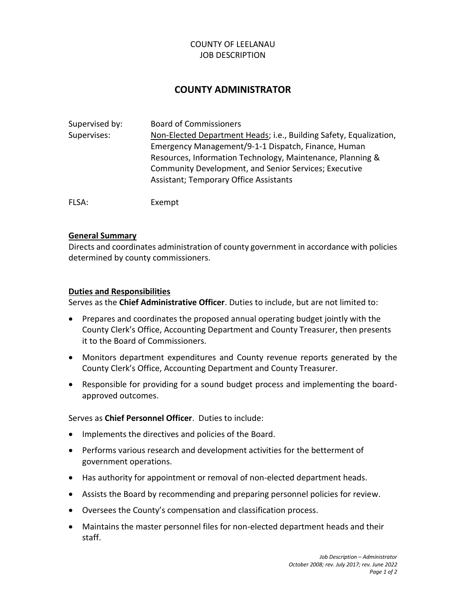# COUNTY OF LEELANAU JOB DESCRIPTION

# **COUNTY ADMINISTRATOR**

| Supervised by: | <b>Board of Commissioners</b>                                                                                                                                        |
|----------------|----------------------------------------------------------------------------------------------------------------------------------------------------------------------|
| Supervises:    | Non-Elected Department Heads; i.e., Building Safety, Equalization,<br>Emergency Management/9-1-1 Dispatch, Finance, Human                                            |
|                | Resources, Information Technology, Maintenance, Planning &<br>Community Development, and Senior Services; Executive<br><b>Assistant; Temporary Office Assistants</b> |
| FLSA:          | Exempt                                                                                                                                                               |

## **General Summary**

Directs and coordinates administration of county government in accordance with policies determined by county commissioners.

#### **Duties and Responsibilities**

Serves as the **Chief Administrative Officer**. Duties to include, but are not limited to:

- Prepares and coordinates the proposed annual operating budget jointly with the County Clerk's Office, Accounting Department and County Treasurer, then presents it to the Board of Commissioners.
- Monitors department expenditures and County revenue reports generated by the County Clerk's Office, Accounting Department and County Treasurer.
- Responsible for providing for a sound budget process and implementing the boardapproved outcomes.

## Serves as **Chief Personnel Officer**. Duties to include:

- Implements the directives and policies of the Board.
- Performs various research and development activities for the betterment of government operations.
- Has authority for appointment or removal of non-elected department heads.
- Assists the Board by recommending and preparing personnel policies for review.
- Oversees the County's compensation and classification process.
- Maintains the master personnel files for non-elected department heads and their staff.